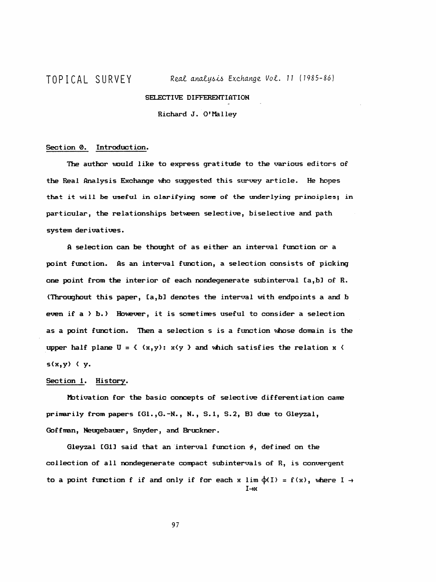## SELECTIVE DIFFERENTIATION

Richard J. O'Malley

## Section 0. Introduction.

The author would like to express gratitude to the various editors of the Real Analysis Exchange who suggested this survey article. He hopes that it will be useful in olarifying some of the underlying prinoiples; in particular, the relationships between selective, biselective and path system derivatives.

 A selection can be thought of as either an interval function or a point function. As an interval function, a selection consists of picking one point from the interior of each nondegenerate subinterval [a,b] of R. (Throughout this paper, Ca,b] denotes the interval with endpoints a and b even if  $a \rightarrow b$ .) However, it is sometimes useful to consider a selection as a point function. Then a selection s is a function whose domain is the upper half plane  $U = \{ (x, y) : x \land y \}$  and which satisfies the relation x  $\land$ s(x,y) < y.

## Section 1. History.

 Motivation for the basic concepts of selective differentiation came primarily from papers CG1.,G.-N. , N. , S.l, S.2, Bü due to Gleyzal, Goff man, Neugebauer, Snyder, and Bruckner.

Gleyzal [G1] said that an interval function  $\phi$ , defined on the collection of all nondegenerate compact subintervals of R, is convergent to a point function f if and only if for each x lim  $\phi(I) = f(x)$ , where  $I \rightarrow$  $I \rightarrow x$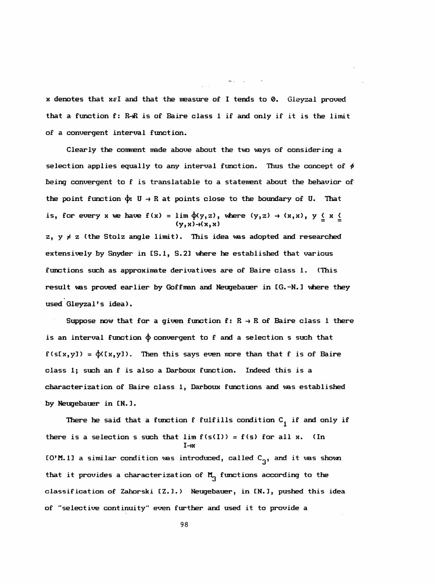$x$  denotes that  $x \in I$  and that the measure of I tends to 0. Gleyzal proved that a function  $f: R\text{-}R$  is of Baire class 1 if and only if it is the limit of a convergent interval function.

مناسب والمتواصل

 Clearly the comment made above about the two ways of considering a selection applies equally to any interval function. Thus the concept of  $\phi$  being convergent to f is translatable to a statement about the behavior of the point function  $\phi: U \to R$  at points close to the boundary of U. That is, for every x we have  $f(x) = \lim_{(y,x) \to (x,x)} \phi(y,z)$ , where  $(y,z) \to (x,x)$ ,  $y \le x \le (y,x) \to (x,x)$  $z$ ,  $y \neq z$  (the Stolz angle limit). This idea was adopted and researched extensively by Snyder in CS.l, S.23 where he established that various functions such as approximate derivatives are of Baire class 1. (This result was proved earlier by Goffman and Neugebauer in [G.-N.] where they used Gleyzal's idea).

Suppose now that for a given function  $f: R \rightarrow R$  of Baire class 1 there is an interval function  $\phi$  convergent to f and a selection s such that  $f(s[x,y]) = \varphi([x,y])$ . Then this says even more than that f is of Baire class 1; such an f is also a Darboux function. Indeed this is a characterization of Baire class 1, Darboux functions and was established by Neugebauer in CN. 3 .

There he said that a function f fulfills condition  $C_i$  if and only if there is a selection s such that  $\lim f(s(I)) = f(s)$  for all x. (In  $I \rightarrow r$  $CO^{\prime}$ M. 11 a similar condition was introduced, called  $C_{\gamma}$ , and it was shown that it provides a characterization of  $M_{\gamma}$  functions according to the classification of Zahorski [Z.].) Neugebauer, in CN.3, pushed this idea of "selective continuity" even further and used it to provide a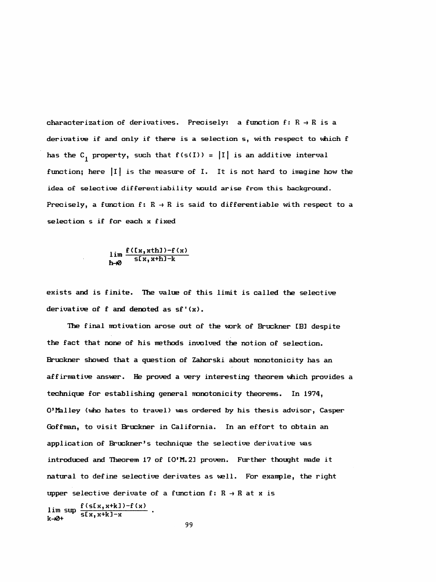characterization of derivatives. Precisely: a function  $f: R \rightarrow R$  is a derivative if and only if there is a selection s, with respect to which f has the  $C_i$  property, such that  $f(s(I)) = |I|$  is an additive interval function; here ļlļ is the measure of I. It is not hard to imagine how the idea of selective differentiability would arise from this background. Precisely, a function f:  $R \rightarrow R$  is said to differentiable with respect to a selection s if for each x fixed

 $\lim \frac{f(Ix, xth1)-f(x)}{f(x, x+h1-b)}$  $\lim_{h\to\infty} \frac{f(t_x, x+h)-f(x)}{f(x, x+h)-k}$ 

 exists and is finite. The value of this limit is called the selective derivative of  $f$  and denoted as  $sf'(x)$ .

The final motivation arose out of the work of Bruckner [B] despite the fact that none of his methods involved the notion of selection. Bruckner showed that a question of Zahorski about monotonicity has an affirmative answer. He proved a very interesting theorem which provides a technique for establishing general monotonicity theorems. In 1974, O'Malley (who hates to travel) was ordered by his thesis advisor, Casper Goffman, to visit Bruckner in California. In an effort to obtain an application of Bruckner's technique the selective derivative vas introduced and Theorem 17 of CO'M. 2] proven. Further thought made it natural to define selective derivates as well. For example, the right upper selective derivate of a function  $f: R \rightarrow R$  at x is

 $\lim_{x \to 0+} \sup \frac{f(s[x,x+k]) - f(x)}{s[x,x+k]-x}$  $k - \sqrt{2}$ 

99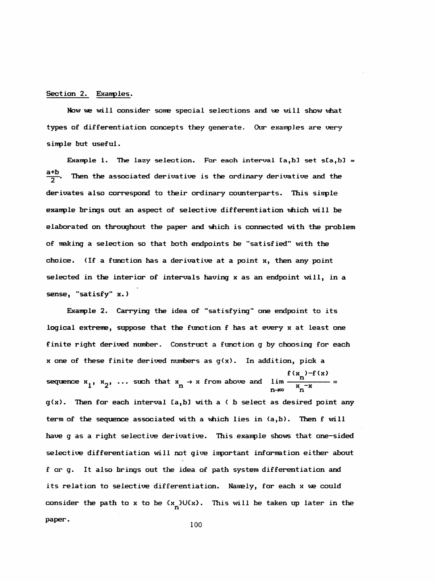## Section 2. Exanples.

Now we will consider some special selections and we will show what types of differentiation concepts they generate. Our exanpJes are very sinple but useful.

Example 1. The lazy selection. For each interval  $[a,b]$  set  $s(a,b] =$  $\frac{a+b}{2}$ Then the associated derivative is the ordinary derivative and the derivates also correspond to their ordinary counterparts. This simple exanple brings out an aspect of selective differentiation which will be elaborated on throughout the paper and which is connected with the problem of making a selection so that both endpoints be "satisfied" with the choice. (If a function has a derivative at a point x, then any point selected in the interior of intervals having x as an endpoint will, in a sense, "satisfy" x. )

 Exanple 2. Carrying the idea of "satisfying" one endpoint to its logical extreme, suppose that the function f has at every x at least one finite right derived number. Construct a function g by choosing for each x one of these finite derived numbers as  $g(x)$ . In addition, pick a sequence  $x_1$ ,  $x_2$ , ... such that  $x_n \to x$  from above and  $\lim_{n \to \infty} \frac{f(x_n) - f(x)}{x_n^{-x}}$  $g(x)$ . Then for each interval [a, b] with a  $\langle$  b select as desired point any term of the sequence associated with a which lies in (a,b). Then f will have g as a right selective derivative. This exanple shows that one-sided selective differentiation will not give inportant information either about f or g. It also brings out the idea of path system differentiation and its relation to selective differentiation. Namely, for each x we could consider the path to x to be  $\{x_n\}$ U $\{x\}$ . This will be taken up later in the paper.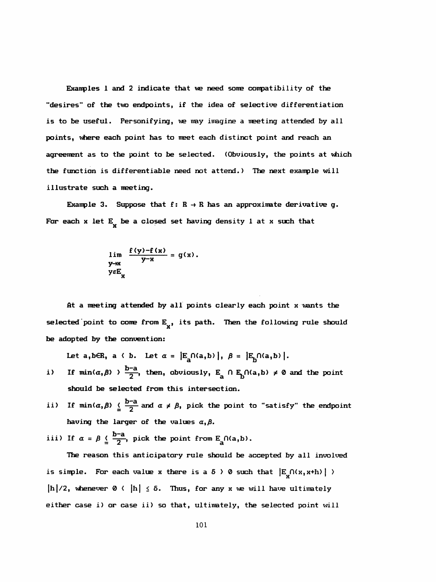Examples 1 and 2 indicate that we need some compatibility of the "desires" of the two endpoints, if the idea of selective differentiation is to be useful. Personifying, we ray imagine a meeting attended by all points, where each point has to meet each distinct point and reach an agreement as to the point to be selected. (Obviously, the points at which the function is differentiable need not attend.) The next example will illustrate such a meeting.

Example 3. Suppose that  $f: R \rightarrow R$  has an approximate derivative g. For each x let  $E_y$  be a closed set having density 1 at x such that

$$
\lim_{y \to x} \frac{f(y) - f(x)}{y - x} = g(x).
$$
  

$$
y \in E_x
$$

 At a meeting attended by all points clearly each point x wants the selected point to come from  $E_{\mathbf{x}}$ , its path. Then the following rule should be adopted by the convention:

Let a, b $\in$ R, a  $\langle$  b. Let  $\alpha = |E_a \cap (a,b)|$ ,  $\beta = |E_b \cap (a,b)|$ .

- i) If  $min(\alpha, \beta)$   $> \frac{b-a}{2}$ , then, obviously,  $E_{\alpha} \cap E_{\alpha} \cap (a,b) \neq \emptyset$  and the point should be selected from this intersection.
- ii) If  $min(\alpha,\beta) \leq \frac{b-a}{2}$  and  $\alpha \neq \beta$ , pick the point to "satisfy" the endpoint having the larger of the values  $\alpha, \beta$ .

iii) If  $\alpha = \beta \leq \frac{b-a}{2}$ , pick the point from E<sub>3</sub> $\cap$ (a,b).

 The reason this anticipatory rule should be accepted by all involved is simple. For each value x there is a  $\delta > 0$  such that  $|E_{\substack{X \ N}} \cap (x, x+h)| >$  $[h]/2$ , whenever  $\emptyset \left\{ |h| \leq \delta \right\}$ . Thus, for any x we will have ultimately either case i) or case ii) so that, ultimately, the selected point will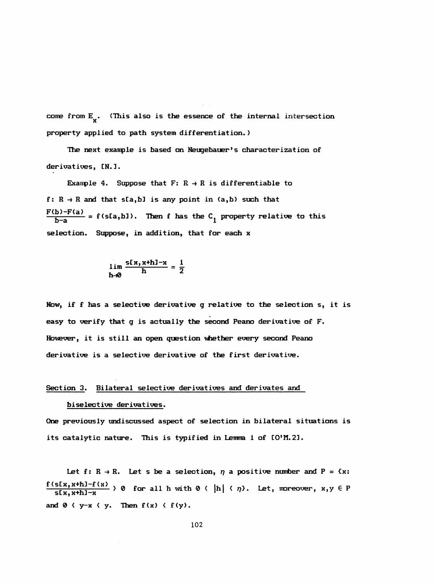come from  $E_{\chi}$ . (This also is the essence of the internal intersection property applied to path system differentiation. )

The next example is based on Neugebauer's characterization of derivatives, CN. 3.

Example 4. Suppose that  $F: R \rightarrow R$  is differentiable to f:  $R \rightarrow R$  and that s[a,b] is any point in (a,b) such that  $\frac{F(b)-F(a)}{b-a} = f(s[a,b])$ . Then f has the C<sub>1</sub> property relative to this selection. Suppose, in addition, that for each x

$$
\lim_{h\to 0}\frac{s[x,x+h]-x}{h}=\frac{1}{2}
$$

Now, if f has a selective derivative g relative to the selection s, it is easy to verify that g is actually the second Peano derivative of F. However, it is still an open question whether every second Peano derivative is a selective derivative of the first derivative.

# Section 3. Bilateral selective derivatives and derivates and

## biselective derivatives.

 One previously undiscussed aspect of selection in bilateral situations is its catalytic nature. This is typified in Lemma 1 of [O'M.2].

Let f:  $R \rightarrow R$ . Let s be a selection,  $\eta$  a positive number and P =  $\{x:$  $\frac{f(s[x,x+h]-f(x)}{f(s,x)+h}$  ) 0 for all h with 0 ( |h| (  $\eta$ ). Let, moreover, x,y  $\in$  P slx,x+nj-x and  $0 \left( y-x \left( y \right)$ . Then  $f(x) \left( f(y) \right)$ .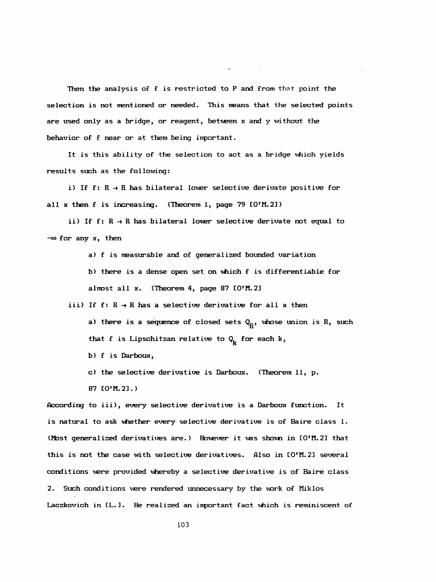Then the analysis of f is restricted to P and from that point the selection is not mentioned or needed. This means that the selected points are used only as a bridge, or reagent, between x and y without the behavior of f near or at them being inportant.

 It is this ability of the selection to act as a bridge which yields results such as the following:

i) If  $f: R \rightarrow R$  has bilateral lower selective derivate positive for all x then f is increasing. (Theorem 1, page 79 [O'M.2])

ii) If  $f: R \rightarrow R$  has bilateral lower selective derivate not equal to  $-\infty$  for any  $x$ , then

a) f is measurable and of generalized bounded variation

 b) there is a dense open set on which f is dif ferentiable for almost all  $x$ . (Theorem 4, page 87  $[0^{\circ}$ M.2]

iii) If  $f: R \rightarrow R$  has a selective derivative for all x then a) there is a sequence of closed sets  $Q_{R}$ , whose union is R, such that f is Lipschitzan relative to  $Q_{\mathbf{k}}$  for each k,

- $b)$  f is Darboux,
- c) the selective derivative is Darboux. (Theorem 11, p.
- 87 CO'M. 21 . )

 According to iii), every selective derivative is a Darboux function. It is natural to ask whether every selective derivative is of Baire class 1. (Most generalized derivatives are.) However it was shown in [O'M.2] that this is not the case with selective derivatives. Also in CO'M. 2] several conditions were provided whereby a selective derivative is of Baire class 2. Such conditions were rendered unnecessary by the work of Miklos Laczkovich in [L.]. He realized an important fact which is reminiscent of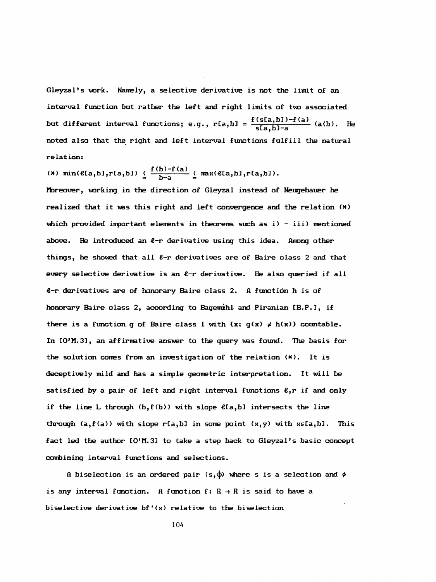Gleyzal's work. Namely, a selective derivative is not the limit of an interrai function but rather the left and right limits of two associated but different interval functions; e.g.,  $r[a,b] = \frac{f(s[a,b]) - f(a)}{s[a,b]-a}$  (a(b). He noted also that the right and left interrai functions fulfill the natural re lat ion:

$$
(*) min(\ell[a,b],r[a,b]) \leq \frac{f(b)-f(a)}{b-a} \leq max(\ell[a,b],r[a,b]).
$$

 řfareover, working in the direction of Gleyzal instead of Neugebauer he realized that it was this right and left convergence and the relation (\*) which provided important elements in theorems such as  $i$ ) - iii) mentioned above. He introduced an  $l$ -r derivative using this idea. Among other things, he showed that all  $l-r$  derivatives are of Baire class 2 and that every selective derivative is an  $e$ -r derivative. He also queried if all  $e$ -r derivatives are of honorary Baire class 2. A function h is of honorary Baire class 2, according to Bagemihl and Piranian [B.P.], if there is a function g of Baire class 1 with  $\{x: g(x) \neq h(x)\}\$  countable. In CO'M. 3], an affirmative ansver to the query vas found. The basis for the solution comes from an investigation of the relation (\*). It is deceptively mild and has a sinple geometric interpretation. It will be satisfied by a pair of left and right interval functions  $e,r$  if and only if the line L through  $(b, f(b))$  with slope  $\ell[a, b]$  intersects the line through  $(a, f(a))$  with slope r[a,b] in some point  $(x, y)$  with  $x \in [a, b]$ . This fact led the author  $[0.9, 1.3]$  to take a step back to Gleyzal's basic concept combining interval functions and selections.

A biselection is an ordered pair (s, $\varphi$ ) where s is a selection and  $\phi$ is any interval function. A function  $f: R \rightarrow R$  is said to have a bise lective derivative  $bf'(x)$  relative to the biselection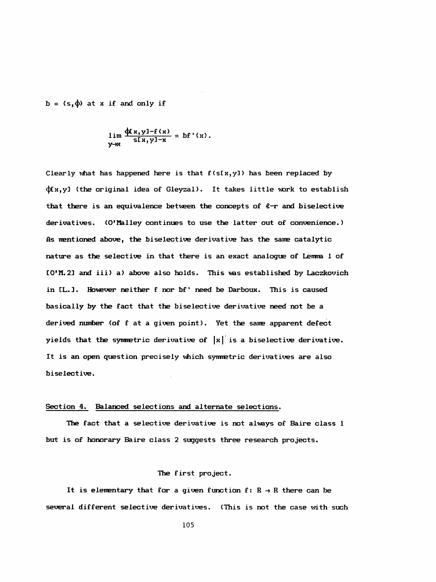$b = (s, \phi)$  at x if and only if

$$
\lim_{y\to x} \frac{\Phi(x,y) - f(x)}{f(x,y)-x} = bf'(x).
$$

Clearly what has happened here is that  $f(S[x,y])$  has been replaced by <ļtx,y] (the original idea of Gleyzal). It takes little work to establish that there is an equivalence between the concepts of  $\ell$ -r and bise lective derivatives. (O'Malley continues to use the latter out of convenience. ) As mentioned above, the biselective derivative has the same catalytic nature as the selective in that there is an exact analogue of Lemma 1 of CO'M. 23 and iii) a) above also holds. This ves established by Laczkovich in [L.]. However neither f nor bf' need be Darboux. This is caused basically by the fact that the biselective derivative need not be a derived number (of f at a given point). Yet the same apparent defect yields that the symmetric derivative of  $|x|$  is a biselective derivative. It is an open question precisely which symmetric derivatives are also biselective.

## Section 4. Balanced selections and alternate selections.

 The fact that a selective derivative is not alvays of Baire class 1 but is of honorary Baire class 2 suggests three research projects.

### The first project.

It is elementary that for a given function  $f: R \rightarrow R$  there can be several different selective derivatives. (This is not the case with such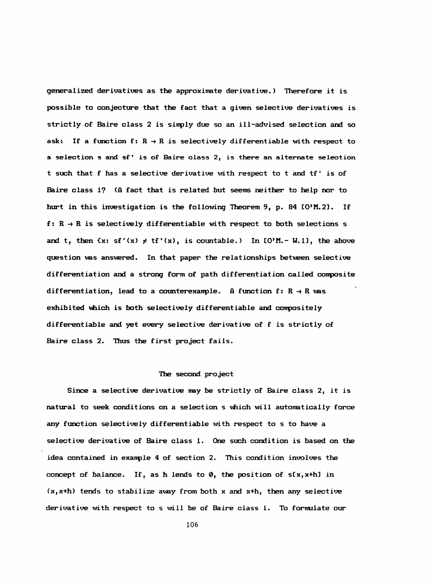generalized derivatives as the approximate derivative.) Therefore it is possible to conjecture that the fact that a given selective derivatives is strictly of Baire class 2 is sinply due so an ill-advised selection and so ask: If a function f:  $R \rightarrow R$  is selectively differentiable with respect to a selection s and sf ' is of Baire class 2, is there an alternate seleotion t such that f has a selective derivative with respect to t and tf ' is of Baire class 1? (A fact that is related but seems neither to help nor to hurt in this investigation is the following Theorem 9, p. 84 [O'M.2]. If f:  $R \rightarrow R$  is selectively differentiable with respect to both selections s and t, then  $\{x: \text{sf'}(x) \neq \text{tf'}(x), \text{ is countable.} \}$  In  $\text{I0'M.-W.11},$  the above question vas answered. In that paper the relationships between selective differentiation and a strong form of path differentiation called composite differentiation, lead to a counterexample. A function  $f: R \to R$  was exhibited which is both selectively differentiable and conpositely different iable and yet every selective derivative of f is strictly of Baire class 2. Thus the first project fails.

#### The second project

 Since a selective derivative may be strictly of Baire class 2, it is natural to seek conditions on a selection s which will automatically force any function selectively differentiable with respect to s to have a selective derivative of Baire class 1. One such condition is based on the idea contained in exanple 4 of section 2. This condition involves the concept of balance. If, as h lends to  $\varnothing$ , the position of s[x, x+h] in  $(x, x+h)$  tends to stabilize away from both x and  $x+h$ , then any selective derivative with respect to s will be of Baire class 1. To formulate our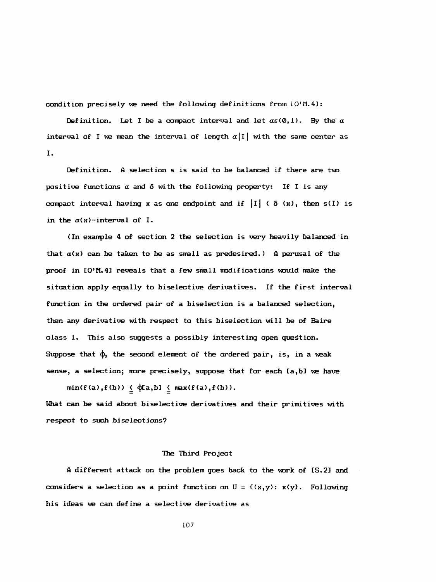condition precisely we need the following definitions from  $LO'M.41$ :

Definition. Let I be a compact interval and let  $\alpha \in (0,1)$ . By the  $\alpha$ interval of I we mean the interval of length  $\alpha|I|$  with the same center as I.

 Definition. A selection s is said to be balanced if there are two positive functions  $\alpha$  and  $\delta$  with the following property: If I is any compact interval having x as one endpoint and if  $|I| \langle \delta(x),$  then s(I) is in the  $\alpha(x)$ -interval of I.

(In example 4 of section 2 the selection is very heavily balanced in that  $\alpha(x)$  can be taken to be as small as predesired.) A perusal of the proof in [O'M.4] reveals that a few small modifications would make the situation apply equally to biselective derivatives. If the first interval function in the ordered pair of a bise lection is a balanced selection, then any derivative with respect to this biselection will be of Baire class 1. This also suggests a possibly interesting open question. Suppose that  $\phi$ , the second element of the ordered pair, is, in a weak sense, a selection; more precisely, suppose that for each [a,b] we have

 $min(f(a), f(b)) \leq \varphi[a, b] \leq max(f(a), f(b)).$  What can be said about biselective derivatives and their primitives with respect to such bi selections?

## The Third Project

 ft different attack on the problem goes back to the work of CS. 2] and considers a selection as a point function on  $U = f(x,y)$ :  $x(y)$ . Following his ideas we can define a selective derivative as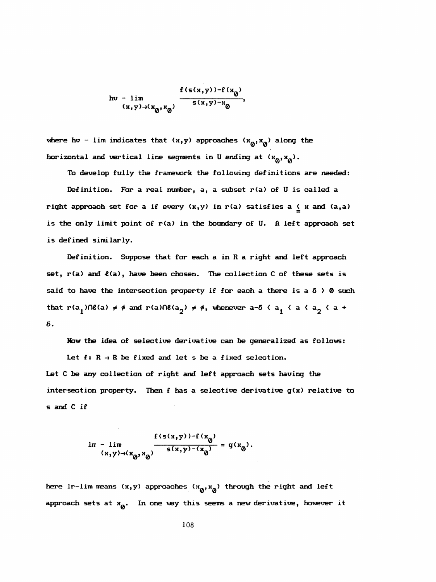$$
h v - \lim_{(x,y)\to(x_0, x_0)} \frac{f(s(x,y)) - f(x_0)}{s(x,y) - x_0}
$$

where hv - lim indicates that  $(x,y)$  approaches  $(x_0, x_0)$  along the horizontal and vertical line segments in U ending at  $(x_0, x_0)$ .

To develop fully the framework the following definitions are needed:

 Definition. For a real number, a, a subset r(a) of U is called a right approach set for a if every  $(x,y)$  in r(a) satisfies a  $\leq x$  and  $(a,a)$ is the only limit point of r(a) in the boundary of U. A left approach set is defined similarly.

 Definition. Suppose that for each a in R a right and left approach set, r(a) and £(a), have been chosen. The collection C of these sets is said to have the intersection property if for each a there is a  $\delta$   $>$  0 such that r(a<sub>1</sub>) $\cap\ell(a) \neq \emptyset$  and r(a) $\cap\ell(a_2) \neq \emptyset$ , whenever a-5  $\langle a_1 \rangle \langle a_2 \rangle \langle a_1 \rangle$ 5.

Now the idea of selective derivative can be generalized as follows:

Let  $f: R \rightarrow R$  be fixed and let s be a fixed selection.

 Let C be any collection of right and left approach sets having the intersection property. Then f has a selective derivative g(x) relative to s and C if

$$
\ln - \lim_{(x,y)\to(x_0,x_0)} \frac{f(s(x,y)) - f(x_0)}{s(x,y) - (x_0)} = g(x_0).
$$

here lr-lim means  $(x,y)$  approaches  $(x_0, x_0)$  through the right and left approach sets at  $x^o$ . In one vay this seems a new derivative, however it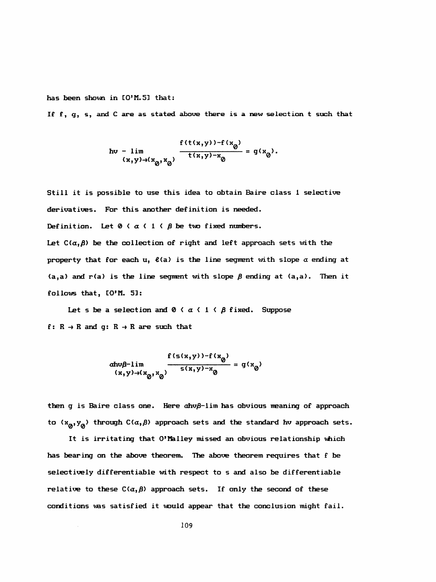has been shown in [O'M.5] that:

If f, g, s, and C are as stated above there is a new selection t such that

$$
hv - \lim_{(x,y)\to (x_0, x_0)} \frac{f(t(x,y)) - f(x_0)}{t(x,y) - x_0} = g(x_0).
$$

 Still it is possible to use this idea to obtain Baire class 1 selective derivatives. For this another definition is needed.

Definition. Let  $0 \leq a \leq 1 \leq \beta$  be two fixed numbers.

Let  $C(\alpha, \beta)$  be the collection of right and left approach sets with the property that for each u,  $\ell(a)$  is the line segment with slope  $\alpha$  ending at  $(a, a)$  and  $r(a)$  is the line segment with slope  $\beta$  ending at  $(a, a)$ . Then it follows that, CO'M. 5]:

Let s be a selection and  $0 \leq \alpha \leq 1 \leq \beta$  fixed. Suppose f:  $R \rightarrow R$  and g:  $R \rightarrow R$  are such that

R 
$$
\rightarrow
$$
 R are such that  
\ndhv $\beta$ -lim  
\n
$$
\frac{f(s(x,y)) - f(x_0)}{s(x,y) - x_0} = g(x_0)
$$
\n
$$
(x,y) \rightarrow (x_0, x_0)
$$

 then g is Baire class one. Here ahvß-lim has obvious meaning of approach to  $(x_0, y_0)$  through  $C(\alpha, \beta)$  approach sets and the standard hv approach sets.

 It is irritating that O'Malley missed an obvious relationship which has bearing on the above theorem. The above theorem requires that f be selectively differentiable with respect to s and also be dif ferentiable relative to these  $C(\alpha, \beta)$  approach sets. If only the second of these conditions was satisfied it would appear that the conclusion might fail.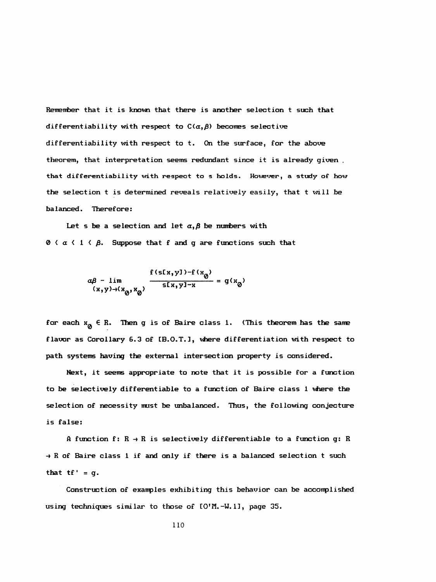Remember that it is known that there is another selection t such that differentiability with respect to  $C(\alpha, \beta)$  becomes selective differentiability with respect to t. On the surface, for the above theorem, that interpretation seems redundant since it is already given . that differentiability with respect to s holds. However, a study of how the selection t is determined reveals relatively easily, that t will be balanced. Therefore:

Let s be a selection and let  $\alpha, \beta$  be numbers with  $0 \leq \alpha \leq 1 \leq \beta$ . Suppose that f and g are functions such that

$$
\alpha\beta - \lim_{(x,y)\to(x_0,x_0)} \frac{f(s[x,y]) - f(x_0)}{s[x,y]-x} = g(x_0)
$$

for each  $x^{\alpha} \in R$ . Then g is of Baire class 1. (This theorem has the same flavor as Corollary 6.3 of [B.O.T.], where differentiation with respect to path systems having the external intersection property is considered.

Next, it seems appropriate to note that it is possible for a function to be selectively differentiable to a function of Baire class 1 where the selection of necessity must be unbalanced. Thus, the following conjecture is false:

A function f:  $R \rightarrow R$  is selectively differentiable to a function g: R  $\rightarrow$  R of Baire class 1 if and only if there is a balanced selection t such that  $tf' = q$ .

 Construction of exanples exhibiting this behavior can be accomplished using techniques similar to those of CO'M.-W. 13, page 35.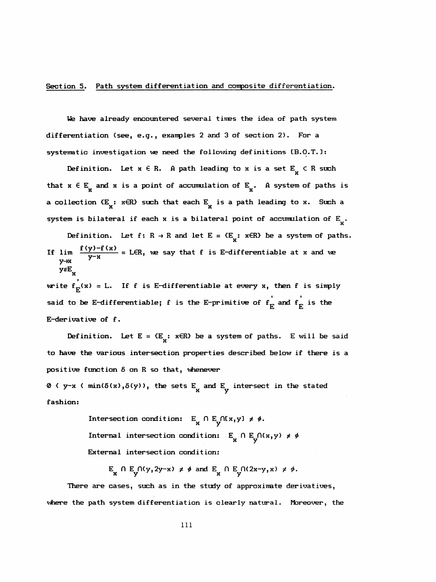# Section 5. Path system differentiation and composite differentiation.

We have already encountered several times the idea of path system differentiation (see, e.g., examples 2 and 3 of section 2). For a systematic investigation ve need the following definitions CB.0.T.1:

Definition. Let  $x \in R$ . A path leading to  $x$  is a set  $E_{\overline{x}} \subset R$  such a collection  $\{E_{\mathbf{y}}: \mathbf{x} \in \mathbb{R}\}$  such that each  $E_{\mathbf{y}}$  is a path leading to x. Such a that  $x \in E_{\bf y}$  and  $x$  is a point of accumulation of  $E_{\bf y}$ . A system of paths is investigation we need the following def<br>ition. Let  $x \in R$ . A path leading to  $x$ <br> $x$  and  $x$  is a point of accumulation of  $E$ <br> $x$  on  $\{E_x : x \in R\}$  such that each  $E$  is a path x is a point of accumula<br>x is a point of accumula<br>x : xER) such that each  $E_{\rm x}$ <br>eral if each x is a bilat differentiation (see, e.g., examples 2 and 3 of section 2). For a<br>systematic investigation we need the following definitions IB.O.T.1:<br>Definition. Let  $x \in R$ . A path leading to  $x$  is a set  $E^X$   $\subset R$  such<br>that  $x \in E^X$ 

Definition. Let  $f: R \to R$  and let  $E = {E_g: R \in R}$  be a system of paths. If lim  $\frac{f(y)-f(x)}{y-x}$  = LER, we say that f is E-differentiable at x and we ysE<sub>.</sub>

write  $f_E(x) = L$ . If f is E-differentiable at every x, then f is simply<br>caid to be E-differentiable: f is the E-primitive of f, and f, is the said to be E-differentiable; f is the E-primitive of  $\mathbf{f}_{\mathbf{E}}$  and  $\mathbf{f}_{\mathbf{E}}$  is the E-derivative of f.

Definition. Let  $E = \{E_x : x \in R\}$  be a system of paths. E will be said to have the various intersection properties described below if there is a positive function  $\delta$  on  $R$  so that, whenever

0  $\left\langle \right.$   $y-x$   $\left\langle \right.$  min( $\delta(x)$ , $\delta(y)$ ), the sets E<sub>x</sub> and E<sub>y</sub> intersect in the stated fashion:

> Intersection condition:  $E_{\mathbf{x}} \cap E_{\mathbf{y}} \cap [x,y] \neq \emptyset$ . Internal intersection condition:  $E \n\begin{cases} R \n\end{cases}$   $\begin{array}{c} \n\text{if } R \n\end{array}$   $\begin{array}{c} \n\text{if } R \n\end{array}$ External intersection condition:

 $E_{\mathbf{x}} \cap E_{\mathbf{y}} \cap (y, 2y-x) \neq \emptyset$  and  $E_{\mathbf{x}} \cap E_{\mathbf{y}} \cap (2x-y, x) \neq \emptyset$ .

 There are cases, such as in the study of approximate derivatives, where the path system differentiation is clearly natural. Moreover, the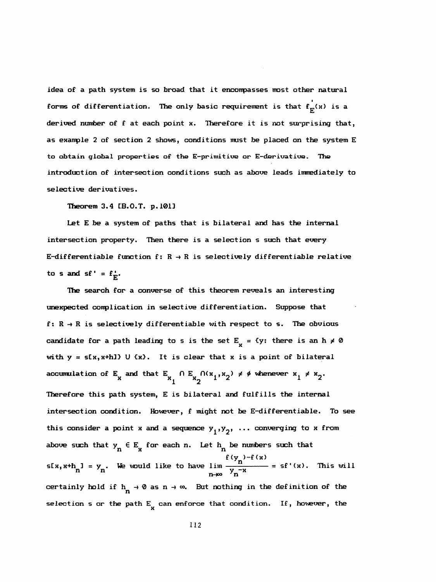idea of a path system is so broad that it enconpasses most other natural forms of differentiation. The only basic requirement is that  $\mathbf{f}_{\mathbf{E}}(\mathbf{x})$  is a derived number of f at each point x. Therefore it is not surprising that, as exanple 2 of section 2 shows, conditions must be placed on the system E to obtain global properties of the E-primitive or E-derivative. The introduction of intersection conditions such as above leads immediately to selective derivatives.

Theorem 3.4 CB.O.T. p. 1013

 Let E be a system of paths that is bilateral and has the internal intersection property. Then there is a selection s such that every E-differentiable function f:  $R \rightarrow R$  is selectively differentiable relative to s and sf' =  $f_{\overline{k}}$ . تنة

 The search for a converse of this theorem reveals an interesting unexpected complication in selective differentiation. Suppose that f:  $R \rightarrow R$  is selectively differentiable with respect to s. The obvious candidate for a path leading to s is the set  $E_{\mathbf{x}} = \{y: \text{ there is an } h \neq 0\}$ with  $y = s[x, x+h]$  U  $\{x\}$ . It is clear that x is a point of bilateral accumulation of E<sub>x</sub> and that E<sub>x</sub>  $\bigcap$  E<sub>x</sub>  $\bigcap (x_{1},x_{2}) \neq \emptyset$  whenever  $x_{1} \neq x_{2}$ . x and that  $E_{x_1} \cap E_{x_2} \cap (x_1, x_2) \neq \emptyset$  whenever  $x_1 \neq x_2$  Therefore this path system, E is bilateral and fulfills the internal intersection condition. However, f might not be E-differentiable. To see this consider a point x and a sequence  $y_1, y_2, \ldots$  converging to x from above such that  $y_n \in E_x$  for each n. Let  $h_n$  be numbers such that f  $(y_n)$ -f(x) s[x,x+h<sub>n</sub>] = y<sub>n</sub>. We would like to have  $\lim_{n \to \infty} \frac{f(y_n) - f(x_n)}{y_n^{-x}}$ certainly hold if  $h_n \to \emptyset$  as  $n \to \infty$ . But nothing in the definition of the selection s or the path  $E_{\bf k}$  can enforce that condition. If, however, the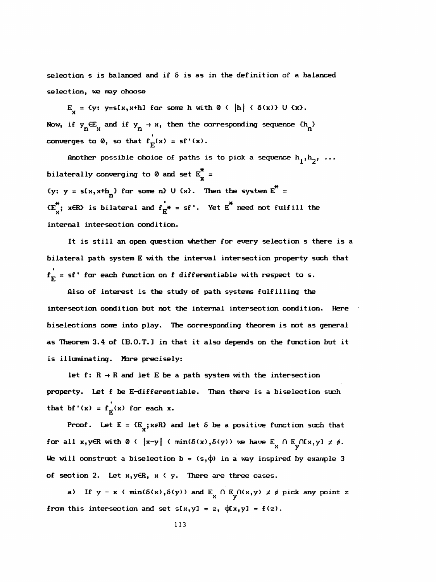selection s is balanced and if  $\delta$  is as in the definition of a balanced selection, we may choose

 $E_y = \{y: y = s[x, x+h] \text{ for some } h \text{ with } 0 \in |h| \in S(x)\} \cup \{x\}.$ Now, if  $y_n \in E_n$  and if  $y_n \to x$ , then the corresponding sequence  $\{h_n\}$ converges to 0, so that  $f^{'}_{E}(x) = sf'(x)$ .

Another possible choice of paths is to pick a sequence  $h_1^h,h_2^h, \ldots$ bilaterally converging to 0 and set  $E_{\textbf{x}}^{\text{v}}$  = {y: y = s[x,x+h<sub>n</sub>] for some n} U {x}. Then the system  $E^*$  =  ${E_{\text{X}}^*}$ ; x $\in$ R $\cdot$  is bilateral and  $f_{E^*}$  = sf'. Yet  $E^*$  need not fulfill the internal intersection condition.

 It is still an open question whether for every selection s there is a bilateral path system E with the interval intersection property such that  ${\bf f}^{+}_{\bf E}$  = sf' for each function on f differentiable with respect to s.

 Also of interest is the study of path systems fulfilling the intersection condition but not the internal intersection condition. Here biselections come into play. The corresponding theorem is not as general as Theorem 3.4 of [B.O.T.] in that it also depends on the function but it is illuminating. More precisely:

let  $f: R \rightarrow R$  and let E be a path system with the intersection property. Let f be E-differentiable. Then there is a biselection such that bf'(x) =  $f_{\text{tr}}(x)$  for each x.

Proof. Let  $E = {E_y; \kappa R}$  and let  $\delta$  be a positive function such that for all x, yER with  $0 \left\{ |x-y| \in \min(\delta(x), \delta(y)) \text{ we have } E_{\substack{X \\ Y}} \cap E_{\substack{Y \\ Y}} \cap [x,y] \neq \emptyset.$ We will construct a biselection  $b = (s, \phi)$  in a way inspired by example 3 of section 2. Let x,y€R, x < y. There are three cases.

a) If  $y - x \in min(\delta(x), \delta(y))$  and  $E_x \cap E_y \cap (x, y) \neq \emptyset$  pick any point z from this intersection and set  $s[x,y] = z$ ,  $\phi(x,y) = f(z)$ .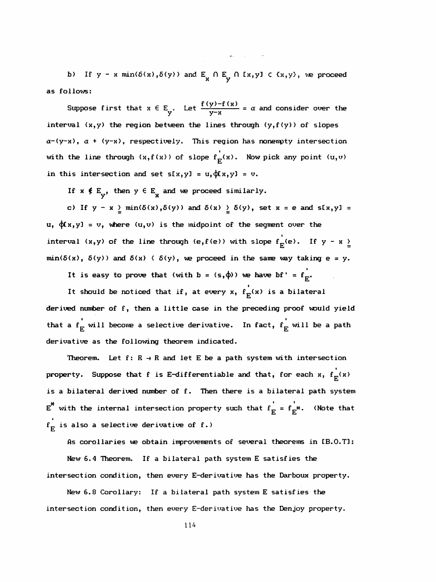b) If  $y - x \min(\delta(x), \delta(y))$  and  $E_x \cap E_y \cap [x, y] \in \{x, y\}$ , we proceed as follows:

 $\mathcal{L}(\mathbf{w},\mathbf{r})$  and  $\mathcal{L}(\mathbf{w},\mathbf{r})$  . The set of  $\mathcal{L}(\mathbf{w},\mathbf{r})$ 

Suppose first that  $x \in E_y$ . Let  $\frac{f(y)-f(x)}{y-x}$ interval  $(x,y)$  the region between the lines through  $(y,f(y))$  of slopes  $a-(y-x)$ ,  $a + (y-x)$ , respectively. This region has nonempty intersection with the line through  $(x, f(x))$  of slope  $f_E^{\cdot}(x)$ . Now pick any point  $(u, v)$ in this intersection and set  $s[x,y] = u, \phi(x,y) = v$ .

If  $x \notin E_y$ , then  $y \in E^x$  and we proceed similarly.

c) If  $y - x \geq min(\delta(x), \delta(y))$  and  $\delta(x) \geq \delta(y)$ , set  $x = e$  and  $s[x, y] =$  $u, \phi(x,y) = v$ , where  $(u,v)$  is the midpoint of the segment over the I interval (x,y) of the line through (e,f(e)) with slo  $min(\delta(x), \delta(y))$  and  $\delta(x) \leq \delta(y)$ , we proceed in the same way taking e = y.

It is easy to prove that (with  $b = (s, \phi)$ ) we have  $bf' = f_r$ .

 I It should be noticed that if, at every  $x$ ,  $F^{(n)}$  derived number of f, then a little case in the preceding proof would yield that a  $\mathbf{f}_{_{\mathbf{F}}}$  will become a selective derivative. In fact,  $\mathbf{f}_{_{\mathbf{F}}}$  will be a path  $u = v$ , where  $(u, v)$  is the midpoint of the segment<br>  $(x, y)$  of the line through  $(e, f(e))$  with slope  $f_E^{\dagger}$ ,<br>  $\delta(y)$  and  $\delta(x) \langle \delta(y) \rangle$ , we proceed in the same was<br>
is easy to prove that (with  $b = (s, \phi)$ ) we have bf<br>
shou derivative as the following theorem indicated.

Theorem. Let  $f: R \rightarrow R$  and let E be a path system with intersection i  $p_{\text{r}}$  , for  $\mathcal{F}_{\text{r}}$  , for each  $\mathcal{F}_{\text{r}}$  and the that, for each  $\mathcal{F}_{\text{r}}$  is a bilateral derived number of f. Then there is a bilateral path system  $E^*$  with the internal intersection property such that  $f^{\dagger}_E = f^{\dagger}_{E^*}$ . (Note that  $\mathbf{f_E^{\cdot}}$  is also a selective derivative of f.)

As corollaries we obtain improvements of several theorems in [B.O.T]: New 6.4 Theorem. If a bilateral path system E satisfies the intersection condition, then every E-derivative has the Darboux property.

 New 6.8 Corollary: If a bilateral path system E satisfies the intersection condition, then every E-derivative has the Denjoy property.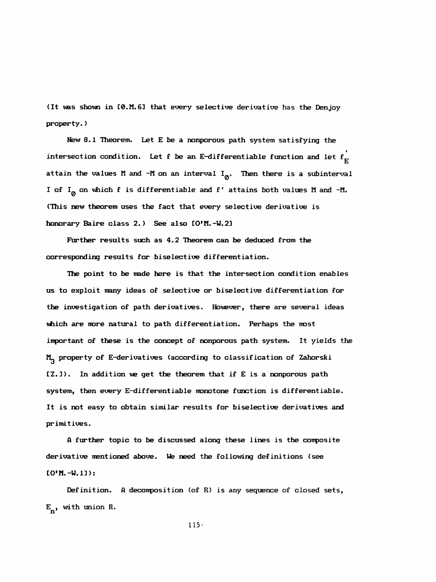(It was shown in C0.M. 63 that every selective derivative has the Denjoy property. )

 New 8.1 Theorem. Let E be a nonporous path system satisfying the intersection condition. Let f be an E-differentiable function and let  $\mathbf{f_{E}^{^{\prime}}}$ attain the values M and -M on an interval  $I_{\emptyset}$ . Then there is a subinterval I of  $I_{\emptyset}$  on which f is differentiable and f' attains both values M and -M. (This new theorem uses the fact that every selective derivative is honorary Baire class 2.) See also CO'M. -W. 23

 Further results such as 4.2 Theorem can be deduced from the corresponding results for biselective differentiation.

 The point to be made here is that the intersection condition enables us to exploit many ideas of selective or biselective differentiation for the investigation of path derivatives. However, there are several ideas which are more natural to path differentiation. Perhaps the most important of these is the concept of nonporous path system. It yields the M<sub>3</sub> property of E-derivatives (according to classification of Zahorski  $[2.1)$ . In addition we get the theorem that if E is a nonporous path system, then every E-differentiable monotone function is differentiable. It is not easy to obtain similar results for biselective derivatives and primitives.

 A further topic to be discussed along these lines is the conposite derivative mentioned above. We need the following definitions (see  $[0'M. -W. 1]$ :

 Definition. A decomposition (of R) is any sequence of closed sets,  $E_{n}$ , with union R.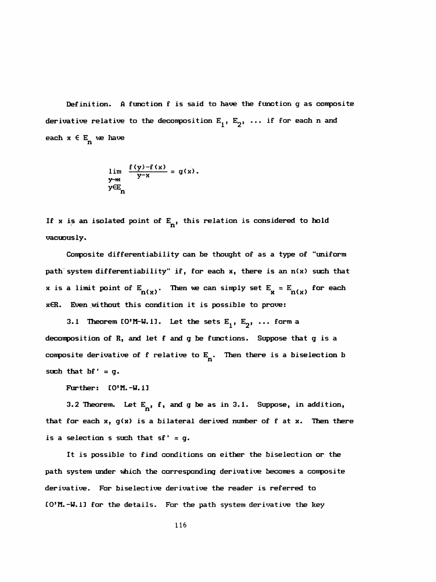Definition. A function f is said to have the function g as conposite derivative relative to the decomposition  $E^1, E^2, \ldots$  if for each n and each  $x \in E_n$  we have

$$
\lim_{\substack{y \to x \\ y \in E_n}} \frac{f(y) - f(x)}{y - x} = g(x).
$$

If x is an isolated point of  $E_n$ , this relation is considered to hold vacuously.

 Conposite differentiability can be thought of as a type of "uniform path' system differentiability" if, for each x, there is an n(x) such that x is a limit point of  $E_{n(x)}$ . Then we can simply set  $E_{x} = E_{n(x)}$  for each xER. Even without this condition it is possible to prove:

3.1 Theorem  $IO^{\prime}$ M-W. 1]. Let the sets  $E^1, E^2, \ldots$  form a decomposition of R, and let f and g be functions. Suppose that g is a composite derivative of f relative to  $E_{n}$ . Then there is a bise lection b such that  $bf' = g$ .

Further:  $[0'M,-W,1]$ 

3.2 Theorem. Let  $E_n$ , f, and g be as in 3.1. Suppose, in addition, that for each  $x$ ,  $g(x)$  is a bilateral derived number of f at  $x$ . Then there is a selection s such that  $sf' = g$ .

 It is possible to find conditions on either the biselection or the path system under which the corresponding derivative becomes a conposite derivative. For biselective derivative the reader is referred to CO'M. -W. 13 for the details. For the path system derivative the key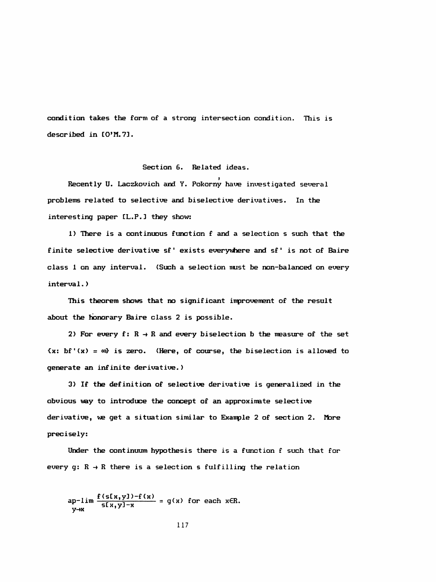condition takes the form of a strong intersection condition. This is described in  $IO'M. 71$ .

# Section 6. Related ideas.

Recently U. Laczkovich and Y. Pokorny have investigated several problems related to selective and biselective derivatives. In the interesting paper EL. P.] they show:

 1) Hiere is a continuous function f and a selection s such that the finite selective derivative sf' exists everywhere and sf' is not of Baire class 1 on any interval. (Such a selection must be non-balanced on every interval.)

 This theorem shows that no significant improvement of the result about the honorary Baire class 2 is possible.

2) For every f:  $R \rightarrow R$  and every bise lection b the measure of the set  $\{x: \text{ bf}^{\text{T}}(x) = \infty\}$  is zero. (Here, of course, the biselection is allowed to generate an infinite derivative. )

 3) If the definition of selective derivative is generalized in the obvious way to introduce the concept of an approximate selective derivative, we get a situation similar to Example 2 of section 2. More precisely:

 Under the continuum hypothesis there is a function f such that for every  $g: R \rightarrow R$  there is a selection s fulfilling the relation

 $\lim_{x \to a} \frac{f(\text{s[x,y])}-f(x)}{f(\text{y})} = g(x)$  for each  $x \in B$  $ap-11m \frac{1}{5[x,y]-x} = g$ <br> $y \rightarrow x$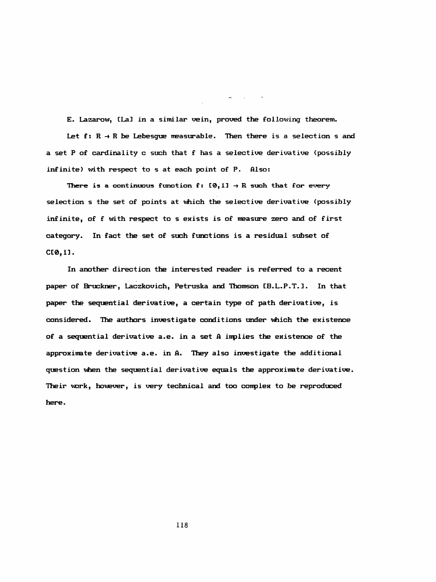E. Lazarów, [La] in a similar vein, proved the following theorem. Let  $f: R \rightarrow R$  be Lebesgue measurable. Then there is a selection s and a set P of cardinality c such that f has a selective derivative (possibly infinite) with respect to s at each point of P. Also:

 $\mathcal{L}(\mathbf{w})$  and  $\mathcal{L}(\mathbf{w})$  and  $\mathcal{L}(\mathbf{w})$ 

There is a continuous function  $f: [0, 1] \rightarrow R$  such that for every selection s the set of points at which the selective derivative (possibly infinite, of f with respect to s exists is of measure zero and of first category. In fact the set of such functions is a residual subset of CC®, 13.

 In another direction the interested reader is referred to a recent paper of Bruckner, Laczkovich, Petruska and Thomson CB.L.P.T. ]. In that paper the sequential derivative, a certain type of path derivative, is considered. The authors investigate conditions under which the existence of a sequential derivative a.e. in a set A inplies the existence of the approximate derivative a.e. in A. They also investigate the additional question when the sequential derivative equals the approximate derivative. Their work, however, is very technical and too conplex to be reproduced here.

118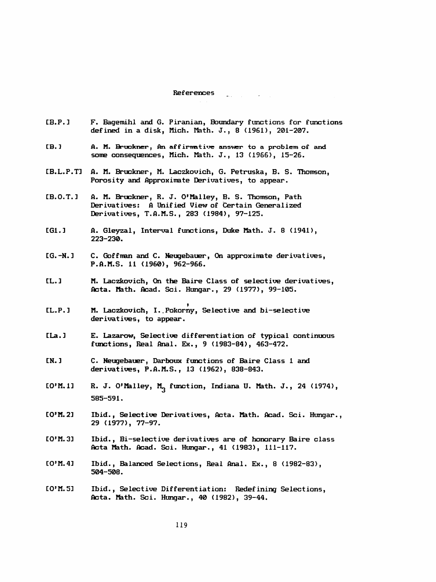#### References  $\label{eq:2} \mathcal{L}(\mathbf{z},\mathbf{z}) = \mathcal{L}(\mathbf{z}^{\top} - \mathbf{z}^{\top}) \mathcal{L}(\mathbf{z}^{\top} - \mathbf{z}^{\top})$

- CB.P.3 F. Bagemihl and G. Piranian, Boundary functions for functions defined in a disk, Mich. Math. J., 8 (1961), 201-207.
- [B.] A. M. Bruckner, An affirmative answer to a problem of and some consequences, Mich. Math. J., 13 (1966), 15-26.
- CB.L.P.T] A. M. Bruckner, M. Laczkovich, G. Petruska, B. S. Thomson, Porosity and Approximate Derivatives, to appear.
- CB.0.T.3 A. M. Bruckner, R. J. O'Malley, B. S. Thomson, Path Derivatives: A Unified View of Certain Generalized Derivatives, T.A.M.S. , 283 (1984), 97-125.
- [G1.] A. Gleyzal, Interval functions, Duke Math. J. 8 (1941), 223-230.
- [G.-N.] C. Goffman and C. Neugebauer, On approximate derivatives, P. A. M.S. 11 (1960), 962-966.
- [L.] M. Laczkovich, On the Baire Class of selective derivatives, Acta, ifath. Acad. Sci. Hungar., 29 (1977), 99-105.
- i CL.P.3 M. Laczkovich, I.. Pokorny, Selective and bi-selective derivatives, to appear.
- [La.] E. Lazarow, Selective differentiation of typical continuous functions, Real Anal. Ex., 9 (1983-84), 463-472.
- CN. ] C. Neugebauer, Darboux functions of Baire Class 1 and derivatives, P.A.M.S. , 13 (1962), 838-843.
- $IO'M. 11$  R. J. O'Malley, M<sub>n</sub> function, Indiana U. Math. J., 24 (1974), 585-591.
- CO'M.23 Ibid., Selective Derivatives, Acta. Math. Acad. Sci. Hungar., 29 (1977), 77-97.
- CO'M. 31 Ibid., Bi-selective derivatives are of honorary Baire class Acta Math. Acad. Sci. Hungar., 41 (1983), 111-117.
- CO'M. 43 Ibid., Balanced Selections, Real Anal. Ex., 8 (1982-83), 504-508.
- CO'M.53 Ibid., Selective Differentiation: Redefining Selections, Acta. Math. Sci. Hungar., 40 (1982), 39-44.